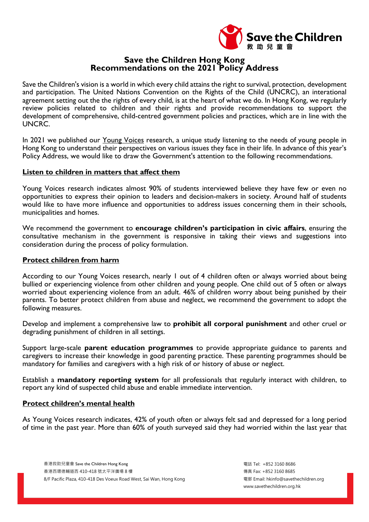

# **Save the Children Hong Kong Recommendations on the 2021 Policy Address**

Save the Children's vision is a world in which every child attains the right to survival, protection, development and participation. The United Nations Convention on the Rights of the Child (UNCRC), an interational agreement setting out the the rights of every child, is at the heart of what we do. In Hong Kong, we regularly review policies related to children and their rights and provide recommendations to support the development of comprehensive, child-centred government policies and practices, which are in line with the UNCRC.

In 2021 we published our Young Voices research, a unique study listening to the needs of young people in Hong Kong to understand their perspectives on various issues they face in their life. In advance of this year's Policy Address, we would like to draw the Government's attention to the following recommendations.

# **Listen to children in matters that affect them**

Young Voices research indicates almost 90% of students interviewed believe they have few or even no opportunities to express their opinion to leaders and decision-makers in society. Around half of students would like to have more influence and opportunities to address issues concerning them in their schools, municipalities and homes.

We recommend the government to **encourage children's participation in civic affairs**, ensuring the consultative mechanism in the government is responsive in taking their views and suggestions into consideration during the process of policy formulation.

### **Protect children from harm**

According to our Young Voices research, nearly 1 out of 4 children often or always worried about being bullied or experiencing violence from other children and young people. One child out of 5 often or always worried about experiencing violence from an adult. 46% of children worry about being punished by their parents. To better protect children from abuse and neglect, we recommend the government to adopt the following measures.

Develop and implement a comprehensive law to **prohibit all corporal punishment** and other cruel or degrading punishment of children in all settings.

Support large-scale **parent education programmes** to provide appropriate guidance to parents and caregivers to increase their knowledge in good parenting practice. These parenting programmes should be mandatory for families and caregivers with a high risk of or history of abuse or neglect.

Establish a **mandatory reporting system** for all professionals that regularly interact with children, to report any kind of suspected child abuse and enable immediate intervention.

# **Protect children's mental health**

As Young Voices research indicates, 42% of youth often or always felt sad and depressed for a long period of time in the past year. More than 60% of youth surveyed said they had worried within the last year that